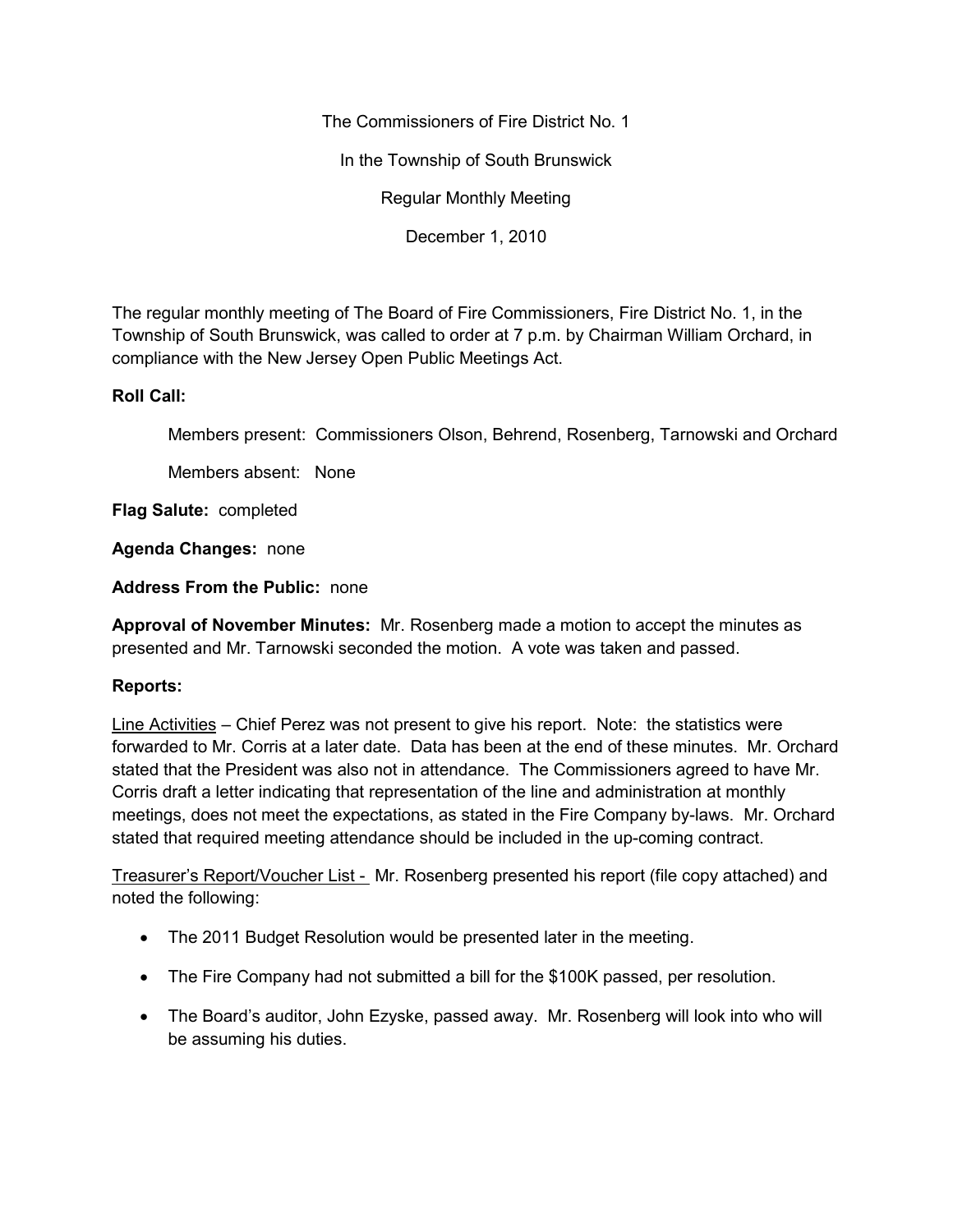The Commissioners of Fire District No. 1 In the Township of South Brunswick Regular Monthly Meeting

December 1, 2010

The regular monthly meeting of The Board of Fire Commissioners, Fire District No. 1, in the Township of South Brunswick, was called to order at 7 p.m. by Chairman William Orchard, in compliance with the New Jersey Open Public Meetings Act.

## **Roll Call:**

Members present: Commissioners Olson, Behrend, Rosenberg, Tarnowski and Orchard

Members absent: None

**Flag Salute:** completed

**Agenda Changes:** none

**Address From the Public:** none

**Approval of November Minutes:** Mr. Rosenberg made a motion to accept the minutes as presented and Mr. Tarnowski seconded the motion. A vote was taken and passed.

## **Reports:**

Line Activities – Chief Perez was not present to give his report. Note: the statistics were forwarded to Mr. Corris at a later date. Data has been at the end of these minutes. Mr. Orchard stated that the President was also not in attendance. The Commissioners agreed to have Mr. Corris draft a letter indicating that representation of the line and administration at monthly meetings, does not meet the expectations, as stated in the Fire Company by-laws. Mr. Orchard stated that required meeting attendance should be included in the up-coming contract.

Treasurer's Report/Voucher List - Mr. Rosenberg presented his report (file copy attached) and noted the following:

- The 2011 Budget Resolution would be presented later in the meeting.
- The Fire Company had not submitted a bill for the \$100K passed, per resolution.
- The Board's auditor, John Ezyske, passed away. Mr. Rosenberg will look into who will be assuming his duties.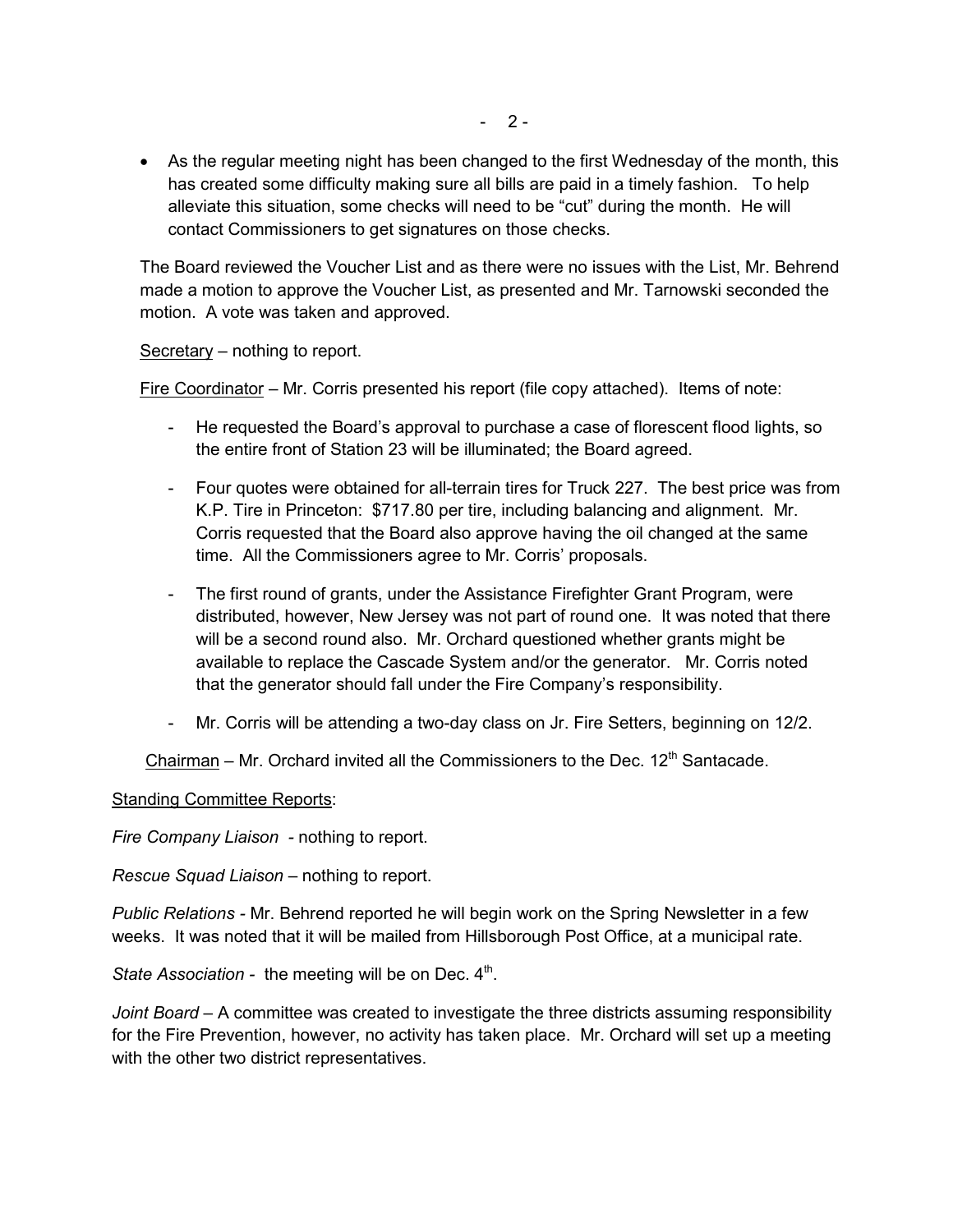• As the regular meeting night has been changed to the first Wednesday of the month, this has created some difficulty making sure all bills are paid in a timely fashion. To help alleviate this situation, some checks will need to be "cut" during the month. He will contact Commissioners to get signatures on those checks.

The Board reviewed the Voucher List and as there were no issues with the List, Mr. Behrend made a motion to approve the Voucher List, as presented and Mr. Tarnowski seconded the motion. A vote was taken and approved.

Secretary – nothing to report.

Fire Coordinator – Mr. Corris presented his report (file copy attached). Items of note:

- He requested the Board's approval to purchase a case of florescent flood lights, so the entire front of Station 23 will be illuminated; the Board agreed.
- Four quotes were obtained for all-terrain tires for Truck 227. The best price was from K.P. Tire in Princeton: \$717.80 per tire, including balancing and alignment. Mr. Corris requested that the Board also approve having the oil changed at the same time. All the Commissioners agree to Mr. Corris' proposals.
- The first round of grants, under the Assistance Firefighter Grant Program, were distributed, however, New Jersey was not part of round one. It was noted that there will be a second round also. Mr. Orchard questioned whether grants might be available to replace the Cascade System and/or the generator. Mr. Corris noted that the generator should fall under the Fire Company's responsibility.
- Mr. Corris will be attending a two-day class on Jr. Fire Setters, beginning on 12/2.

Chairman – Mr. Orchard invited all the Commissioners to the Dec.  $12<sup>th</sup>$  Santacade.

**Standing Committee Reports:** 

*Fire Company Liaison -* nothing to report.

*Rescue Squad Liaison –* nothing to report.

*Public Relations -* Mr. Behrend reported he will begin work on the Spring Newsletter in a few weeks. It was noted that it will be mailed from Hillsborough Post Office, at a municipal rate.

State Association - the meeting will be on Dec. 4<sup>th</sup>.

*Joint Board* – A committee was created to investigate the three districts assuming responsibility for the Fire Prevention, however, no activity has taken place. Mr. Orchard will set up a meeting with the other two district representatives.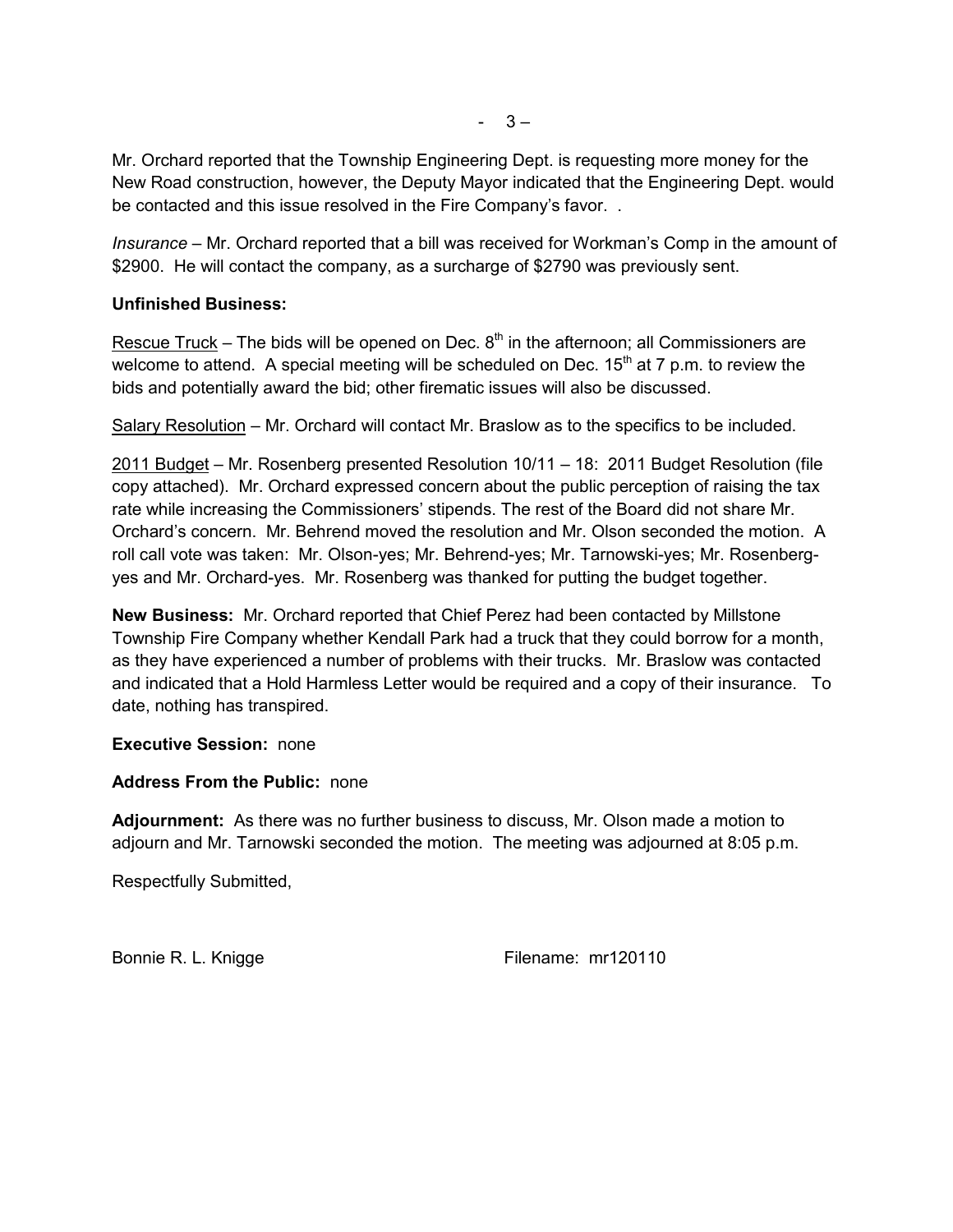Mr. Orchard reported that the Township Engineering Dept. is requesting more money for the New Road construction, however, the Deputy Mayor indicated that the Engineering Dept. would be contacted and this issue resolved in the Fire Company's favor. .

*Insurance –* Mr. Orchard reported that a bill was received for Workman's Comp in the amount of \$2900. He will contact the company, as a surcharge of \$2790 was previously sent.

## **Unfinished Business:**

Rescue Truck – The bids will be opened on Dec.  $8<sup>th</sup>$  in the afternoon; all Commissioners are welcome to attend. A special meeting will be scheduled on Dec.  $15<sup>th</sup>$  at 7 p.m. to review the bids and potentially award the bid; other firematic issues will also be discussed.

Salary Resolution – Mr. Orchard will contact Mr. Braslow as to the specifics to be included.

2011 Budget – Mr. Rosenberg presented Resolution 10/11 – 18: 2011 Budget Resolution (file copy attached). Mr. Orchard expressed concern about the public perception of raising the tax rate while increasing the Commissioners' stipends. The rest of the Board did not share Mr. Orchard's concern. Mr. Behrend moved the resolution and Mr. Olson seconded the motion. A roll call vote was taken: Mr. Olson-yes; Mr. Behrend-yes; Mr. Tarnowski-yes; Mr. Rosenberg yes and Mr. Orchard-yes. Mr. Rosenberg was thanked for putting the budget together.

**New Business:** Mr. Orchard reported that Chief Perez had been contacted by Millstone Township Fire Company whether Kendall Park had a truck that they could borrow for a month, as they have experienced a number of problems with their trucks. Mr. Braslow was contacted and indicated that a Hold Harmless Letter would be required and a copy of their insurance. To date, nothing has transpired.

**Executive Session:** none

## **Address From the Public:** none

**Adjournment:** As there was no further business to discuss, Mr. Olson made a motion to adjourn and Mr. Tarnowski seconded the motion. The meeting was adjourned at 8:05 p.m.

Respectfully Submitted,

Bonnie R. L. Knigge Filename: mr120110